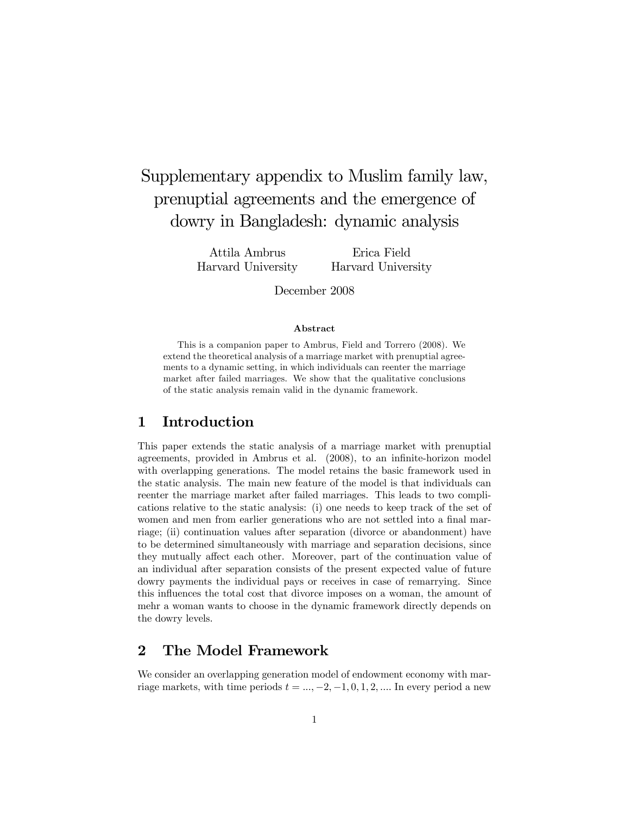# Supplementary appendix to Muslim family law, prenuptial agreements and the emergence of dowry in Bangladesh: dynamic analysis

Attila Ambrus Harvard University

Erica Field Harvard University

December 2008

#### Abstract

This is a companion paper to Ambrus, Field and Torrero (2008). We extend the theoretical analysis of a marriage market with prenuptial agreements to a dynamic setting, in which individuals can reenter the marriage market after failed marriages. We show that the qualitative conclusions of the static analysis remain valid in the dynamic framework.

## 1 Introduction

This paper extends the static analysis of a marriage market with prenuptial agreements, provided in Ambrus et al. (2008), to an infinite-horizon model with overlapping generations. The model retains the basic framework used in the static analysis. The main new feature of the model is that individuals can reenter the marriage market after failed marriages. This leads to two complications relative to the static analysis: (i) one needs to keep track of the set of women and men from earlier generations who are not settled into a final marriage; (ii) continuation values after separation (divorce or abandonment) have to be determined simultaneously with marriage and separation decisions, since they mutually affect each other. Moreover, part of the continuation value of an individual after separation consists of the present expected value of future dowry payments the individual pays or receives in case of remarrying. Since this influences the total cost that divorce imposes on a woman, the amount of mehr a woman wants to choose in the dynamic framework directly depends on the dowry levels.

# 2 The Model Framework

We consider an overlapping generation model of endowment economy with marriage markets, with time periods  $t = ..., -2, -1, 0, 1, 2, ...$  In every period a new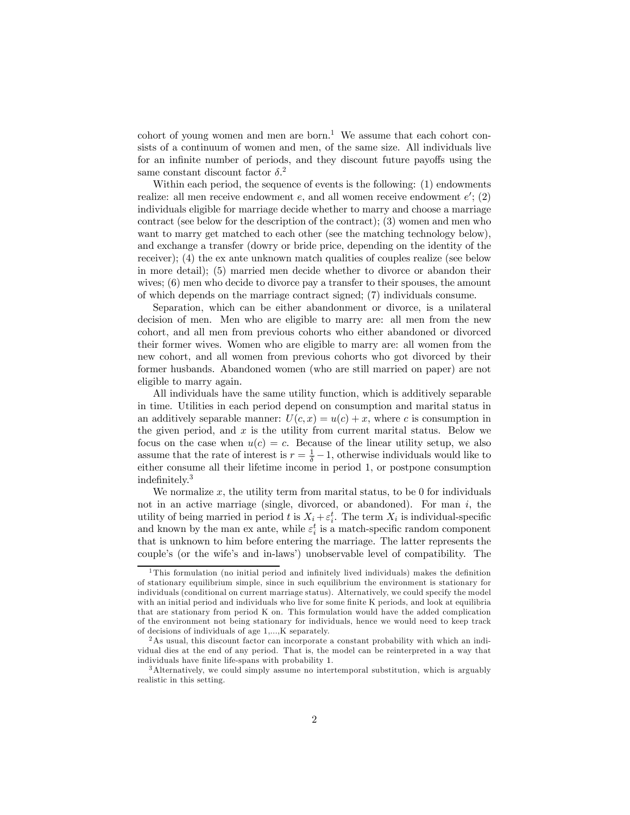cohort of young women and men are born.<sup>1</sup> We assume that each cohort consists of a continuum of women and men, of the same size. All individuals live for an infinite number of periods, and they discount future payoffs using the same constant discount factor  $\delta$ <sup>2</sup>

Within each period, the sequence of events is the following: (1) endowments realize: all men receive endowment  $e$ , and all women receive endowment  $e'$ ; (2) individuals eligible for marriage decide whether to marry and choose a marriage contract (see below for the description of the contract); (3) women and men who want to marry get matched to each other (see the matching technology below), and exchange a transfer (dowry or bride price, depending on the identity of the receiver); (4) the ex ante unknown match qualities of couples realize (see below in more detail); (5) married men decide whether to divorce or abandon their wives;  $(6)$  men who decide to divorce pay a transfer to their spouses, the amount of which depends on the marriage contract signed; (7) individuals consume.

Separation, which can be either abandonment or divorce, is a unilateral decision of men. Men who are eligible to marry are: all men from the new cohort, and all men from previous cohorts who either abandoned or divorced their former wives. Women who are eligible to marry are: all women from the new cohort, and all women from previous cohorts who got divorced by their former husbands. Abandoned women (who are still married on paper) are not eligible to marry again.

All individuals have the same utility function, which is additively separable in time. Utilities in each period depend on consumption and marital status in an additively separable manner:  $U(c, x) = u(c) + x$ , where c is consumption in the given period, and  $x$  is the utility from current marital status. Below we focus on the case when  $u(c) = c$ . Because of the linear utility setup, we also assume that the rate of interest is  $r = \frac{1}{\delta} - 1$ , otherwise individuals would like to either consume all their lifetime income in period 1, or postpone consumption indefinitely.3

We normalize  $x$ , the utility term from marital status, to be 0 for individuals not in an active marriage (single, divorced, or abandoned). For man  $i$ , the utility of being married in period t is  $X_i + \varepsilon_i^t$ . The term  $X_i$  is individual-specific and known by the man ex ante, while  $\varepsilon_i^t$  is a match-specific random component that is unknown to him before entering the marriage. The latter represents the couple's (or the wife's and in-laws') unobservable level of compatibility. The

<sup>1</sup>This formulation (no initial period and infinitely lived individuals) makes the definition of stationary equilibrium simple, since in such equilibrium the environment is stationary for individuals (conditional on current marriage status). Alternatively, we could specify the model with an initial period and individuals who live for some finite K periods, and look at equilibria that are stationary from period K on. This formulation would have the added complication of the environment not being stationary for individuals, hence we would need to keep track of decisions of individuals of age 1,...,K separately.

<sup>&</sup>lt;sup>2</sup>As usual, this discount factor can incorporate a constant probability with which an individual dies at the end of any period. That is, the model can be reinterpreted in a way that individuals have finite life-spans with probability 1.

<sup>&</sup>lt;sup>3</sup>Alternatively, we could simply assume no intertemporal substitution, which is arguably realistic in this setting.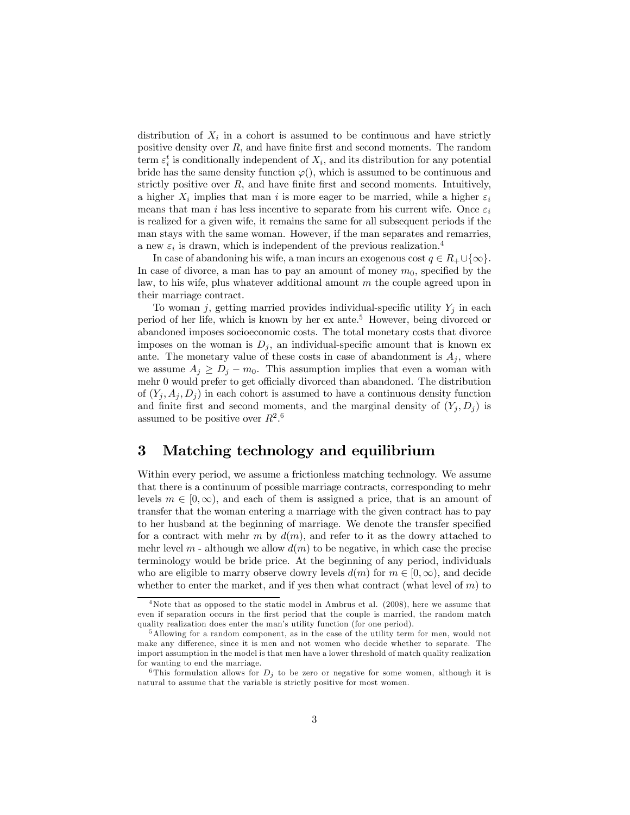distribution of  $X_i$  in a cohort is assumed to be continuous and have strictly positive density over  $R$ , and have finite first and second moments. The random term  $\varepsilon_i^t$  is conditionally independent of  $X_i$ , and its distribution for any potential bride has the same density function  $\varphi()$ , which is assumed to be continuous and strictly positive over  $R$ , and have finite first and second moments. Intuitively, a higher  $X_i$  implies that man i is more eager to be married, while a higher  $\varepsilon_i$ means that man i has less incentive to separate from his current wife. Once  $\varepsilon_i$ is realized for a given wife, it remains the same for all subsequent periods if the man stays with the same woman. However, if the man separates and remarries, a new  $\varepsilon_i$  is drawn, which is independent of the previous realization.<sup>4</sup>

In case of abandoning his wife, a man incurs an exogenous cost  $q \in R_+ \cup \{\infty\}.$ In case of divorce, a man has to pay an amount of money  $m_0$ , specified by the law, to his wife, plus whatever additional amount m the couple agreed upon in their marriage contract.

To woman j, getting married provides individual-specific utility  $Y_j$  in each period of her life, which is known by her ex ante.5 However, being divorced or abandoned imposes socioeconomic costs. The total monetary costs that divorce imposes on the woman is  $D_j$ , an individual-specific amount that is known ex ante. The monetary value of these costs in case of abandonment is  $A_i$ , where we assume  $A_j \geq D_j - m_0$ . This assumption implies that even a woman with mehr 0 would prefer to get officially divorced than abandoned. The distribution of  $(Y_i, A_i, D_i)$  in each cohort is assumed to have a continuous density function and finite first and second moments, and the marginal density of  $(Y_i, D_i)$  is assumed to be positive over  $R^{2.6}$ 

# 3 Matching technology and equilibrium

Within every period, we assume a frictionless matching technology. We assume that there is a continuum of possible marriage contracts, corresponding to mehr levels  $m \in [0,\infty)$ , and each of them is assigned a price, that is an amount of transfer that the woman entering a marriage with the given contract has to pay to her husband at the beginning of marriage. We denote the transfer specified for a contract with mehr m by  $d(m)$ , and refer to it as the dowry attached to mehr level  $m$  - although we allow  $d(m)$  to be negative, in which case the precise terminology would be bride price. At the beginning of any period, individuals who are eligible to marry observe dowry levels  $d(m)$  for  $m \in [0, \infty)$ , and decide whether to enter the market, and if yes then what contract (what level of  $m$ ) to

<sup>4</sup>Note that as opposed to the static model in Ambrus et al. (2008), here we assume that even if separation occurs in the first period that the couple is married, the random match quality realization does enter the man's utility function (for one period).

<sup>&</sup>lt;sup>5</sup>Allowing for a random component, as in the case of the utility term for men, would not make any difference, since it is men and not women who decide whether to separate. The import assumption in the model is that men have a lower threshold of match quality realization for wanting to end the marriage.

<sup>&</sup>lt;sup>6</sup>This formulation allows for  $D_j$  to be zero or negative for some women, although it is natural to assume that the variable is strictly positive for most women.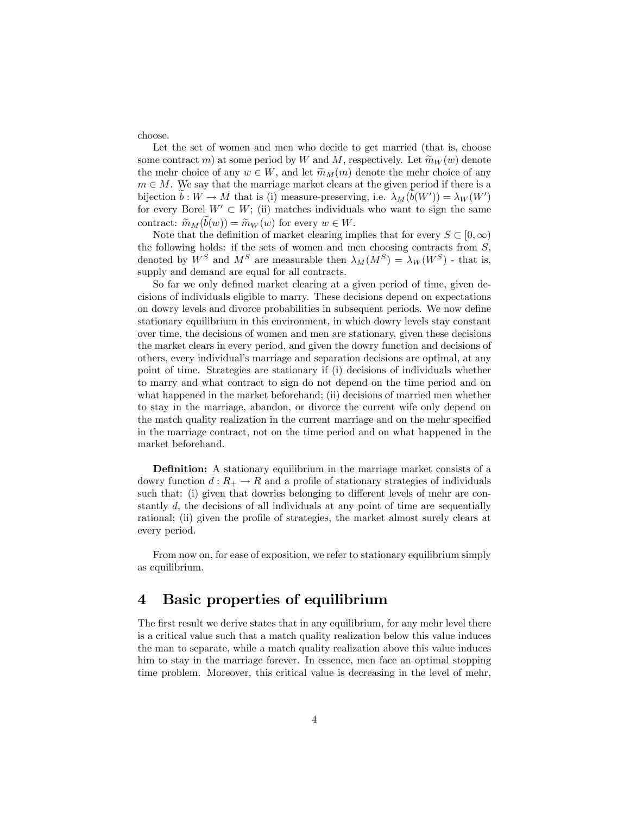choose.

Let the set of women and men who decide to get married (that is, choose some contract m) at some period by W and M, respectively. Let  $\widetilde{m}_W(w)$  denote the mehr choice of any  $w \in W$ , and let  $\widetilde{m}_M(m)$  denote the mehr choice of any  $m \in M$ . We say that the marriage market clears at the given period if there is a bijection  $b : W \to M$  that is (i) measure-preserving, i.e.  $\lambda_M(b(W')) = \lambda_W(W')$ for every Borel  $W' \subset W$ ; (ii) matches individuals who want to sign the same contract:  $\widetilde{m}_M(b(w)) = \widetilde{m}_W(w)$  for every  $w \in W$ .

Note that the definition of market clearing implies that for every  $S \subset [0,\infty)$ the following holds: if the sets of women and men choosing contracts from  $S$ , denoted by  $W^S$  and  $M^S$  are measurable then  $\lambda_M(M^S) = \lambda_W(W^S)$  - that is, supply and demand are equal for all contracts.

So far we only defined market clearing at a given period of time, given decisions of individuals eligible to marry. These decisions depend on expectations on dowry levels and divorce probabilities in subsequent periods. We now define stationary equilibrium in this environment, in which dowry levels stay constant over time, the decisions of women and men are stationary, given these decisions the market clears in every period, and given the dowry function and decisions of others, every individual's marriage and separation decisions are optimal, at any point of time. Strategies are stationary if (i) decisions of individuals whether to marry and what contract to sign do not depend on the time period and on what happened in the market beforehand; (ii) decisions of married men whether to stay in the marriage, abandon, or divorce the current wife only depend on the match quality realization in the current marriage and on the mehr specified in the marriage contract, not on the time period and on what happened in the market beforehand.

Definition: A stationary equilibrium in the marriage market consists of a dowry function  $d: R_+ \to R$  and a profile of stationary strategies of individuals such that: (i) given that dowries belonging to different levels of mehr are constantly d, the decisions of all individuals at any point of time are sequentially rational; (ii) given the profile of strategies, the market almost surely clears at every period.

From now on, for ease of exposition, we refer to stationary equilibrium simply as equilibrium.

## 4 Basic properties of equilibrium

The first result we derive states that in any equilibrium, for any mehr level there is a critical value such that a match quality realization below this value induces the man to separate, while a match quality realization above this value induces him to stay in the marriage forever. In essence, men face an optimal stopping time problem. Moreover, this critical value is decreasing in the level of mehr,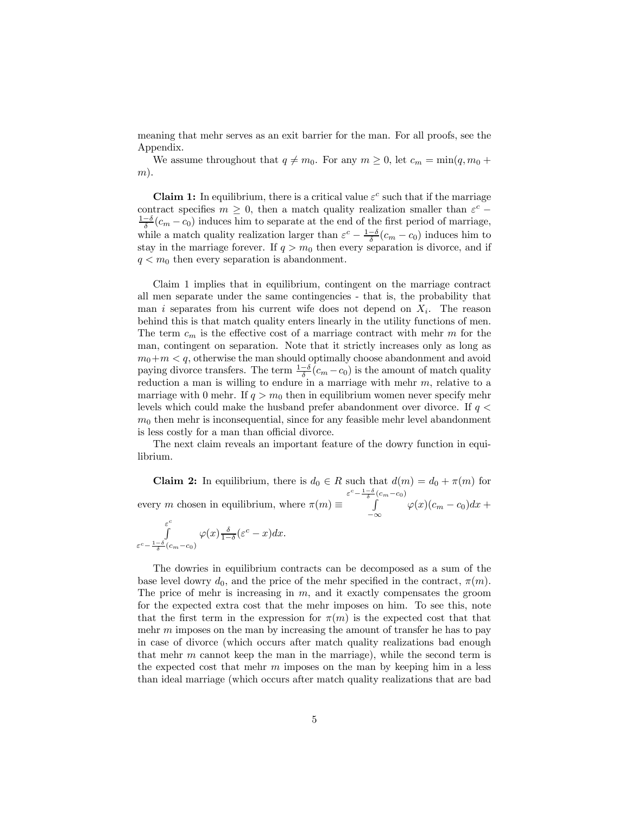meaning that mehr serves as an exit barrier for the man. For all proofs, see the Appendix.

We assume throughout that  $q \neq m_0$ . For any  $m \geq 0$ , let  $c_m = \min(q, m_0 +$  $(m)$ .

**Claim 1:** In equilibrium, there is a critical value  $\varepsilon^c$  such that if the marriage contract specifies  $m \geq 0$ , then a match quality realization smaller than  $\varepsilon^c$  −  $\frac{1-\delta}{\delta}(c_m - c_0)$  induces him to separate at the end of the first period of marriage, while a match quality realization larger than  $\varepsilon^c - \frac{1-\delta}{\delta}(c_m - c_0)$  induces him to stay in the marriage forever. If  $q > m_0$  then every separation is divorce, and if  $q < m_0$  then every separation is abandonment.

Claim 1 implies that in equilibrium, contingent on the marriage contract all men separate under the same contingencies - that is, the probability that man i separates from his current wife does not depend on  $X_i$ . The reason behind this is that match quality enters linearly in the utility functions of men. The term  $c_m$  is the effective cost of a marriage contract with mehr m for the man, contingent on separation. Note that it strictly increases only as long as  $m_0+m< q$ , otherwise the man should optimally choose abandonment and avoid paying divorce transfers. The term  $\frac{1-\delta}{\delta}(c_m-c_0)$  is the amount of match quality reduction a man is willing to endure in a marriage with mehr  $m$ , relative to a marriage with 0 mehr. If  $q > m_0$  then in equilibrium women never specify mehr levels which could make the husband prefer abandonment over divorce. If  $q \lt \ell$  $m<sub>0</sub>$  then mehr is inconsequential, since for any feasible mehr level abandonment is less costly for a man than official divorce.

The next claim reveals an important feature of the dowry function in equilibrium.

**Claim 2:** In equilibrium, there is  $d_0 \in R$  such that  $d(m) = d_0 + \pi(m)$  for every m chosen in equilibrium, where  $\pi(m) \equiv$  $\varepsilon^c - \frac{1-\delta}{\delta}(c_m-c_0)$  $\int_{-\infty}^{\infty} \varphi(x)(c_m - c_0) dx +$  $\overline{c}$ 

$$
\int\limits_{\varepsilon^c - \frac{1-\delta}{\delta}(c_m - c_0)} \varphi(x) \frac{\delta}{1-\delta} (\varepsilon^c - x) dx.
$$

The dowries in equilibrium contracts can be decomposed as a sum of the base level dowry  $d_0$ , and the price of the mehr specified in the contract,  $\pi(m)$ . The price of mehr is increasing in  $m$ , and it exactly compensates the groom for the expected extra cost that the mehr imposes on him. To see this, note that the first term in the expression for  $\pi(m)$  is the expected cost that that mehr  $m$  imposes on the man by increasing the amount of transfer he has to pay in case of divorce (which occurs after match quality realizations bad enough that mehr  $m$  cannot keep the man in the marriage), while the second term is the expected cost that mehr  $m$  imposes on the man by keeping him in a less than ideal marriage (which occurs after match quality realizations that are bad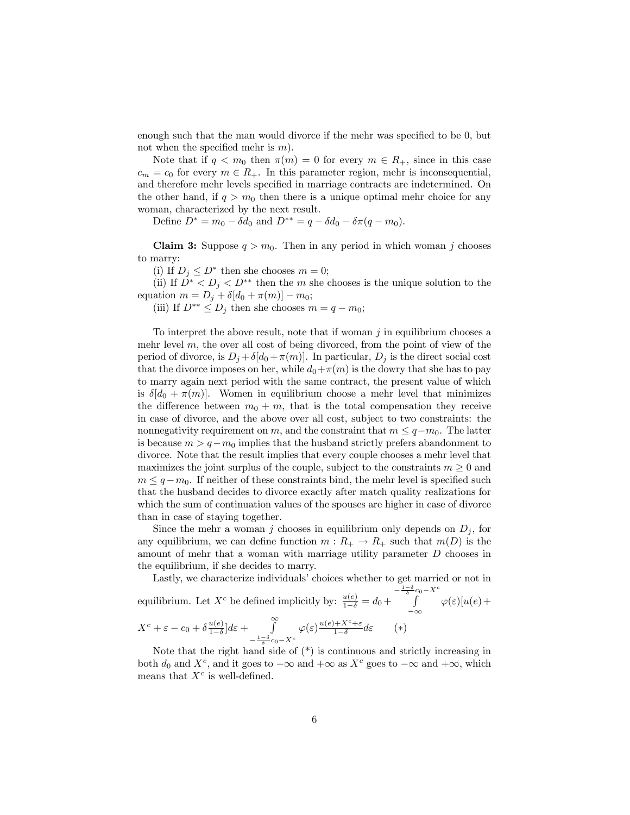enough such that the man would divorce if the mehr was specified to be 0, but not when the specified mehr is  $m$ ).

Note that if  $q < m_0$  then  $\pi(m) = 0$  for every  $m \in R_+$ , since in this case  $c_m = c_0$  for every  $m \in R_+$ . In this parameter region, mehr is inconsequential, and therefore mehr levels specified in marriage contracts are indetermined. On the other hand, if  $q > m_0$  then there is a unique optimal mehr choice for any woman, characterized by the next result.

Define  $D^* = m_0 - \delta d_0$  and  $D^{**} = q - \delta d_0 - \delta \pi (q - m_0)$ .

**Claim 3:** Suppose  $q > m_0$ . Then in any period in which woman j chooses to marry:

(i) If  $D_i \leq D^*$  then she chooses  $m = 0$ ;

(ii) If  $D^* < D_j < D^{**}$  then the m she chooses is the unique solution to the equation  $m = D_i + \delta[d_0 + \pi(m)] - m_0;$ 

(iii) If  $D^{**} \leq D_j$  then she chooses  $m = q - m_0$ ;

To interpret the above result, note that if woman  $j$  in equilibrium chooses a mehr level  $m$ , the over all cost of being divorced, from the point of view of the period of divorce, is  $D_i + \delta[d_0 + \pi(m)]$ . In particular,  $D_i$  is the direct social cost that the divorce imposes on her, while  $d_0+\pi(m)$  is the dowry that she has to pay to marry again next period with the same contract, the present value of which is  $\delta[d_0 + \pi(m)]$ . Women in equilibrium choose a mehr level that minimizes the difference between  $m_0 + m$ , that is the total compensation they receive in case of divorce, and the above over all cost, subject to two constraints: the nonnegativity requirement on m, and the constraint that  $m \leq q-m_0$ . The latter is because  $m > q - m_0$  implies that the husband strictly prefers abandonment to divorce. Note that the result implies that every couple chooses a mehr level that maximizes the joint surplus of the couple, subject to the constraints  $m \geq 0$  and  $m \leq q - m_0$ . If neither of these constraints bind, the mehr level is specified such that the husband decides to divorce exactly after match quality realizations for which the sum of continuation values of the spouses are higher in case of divorce than in case of staying together.

Since the mehr a woman j chooses in equilibrium only depends on  $D_j$ , for any equilibrium, we can define function  $m: R_+ \to R_+$  such that  $m(D)$  is the amount of mehr that a woman with marriage utility parameter D chooses in the equilibrium, if she decides to marry.

Lastly, we characterize individuals' choices whether to get married or not in equilibrium. Let  $X^c$  be defined implicitly by:  $\frac{u(e)}{1-\delta} = d_0 +$  $-\frac{1-\delta}{\delta}c_0 - X^c$ −∞  $\varphi(\varepsilon)[u(e)]$  $X^c + \varepsilon - c_0 + \delta \frac{u(e)}{1-\delta} \big] d\varepsilon + \int_{1-\delta}^{\infty}$  $-\frac{1-\delta}{\delta}c_0 - X^c$  $\varphi(\varepsilon) \frac{u(e) + X^c + \varepsilon}{1 - \delta} d\varepsilon$  (\*)

Note that the right hand side of  $(*)$  is continuous and strictly increasing in both  $d_0$  and  $X^c$ , and it goes to  $-\infty$  and  $+\infty$  as  $X^c$  goes to  $-\infty$  and  $+\infty$ , which means that  $X^c$  is well-defined.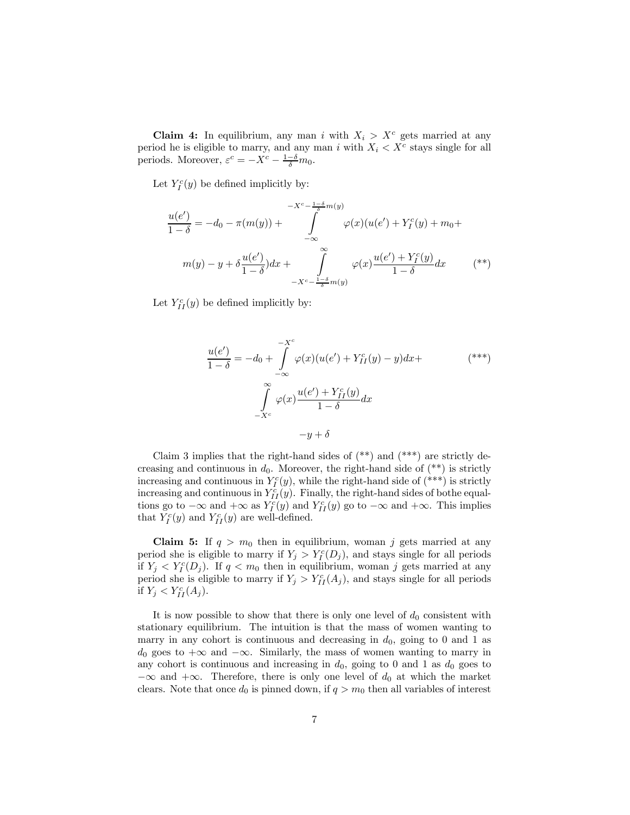**Claim 4:** In equilibrium, any man i with  $X_i > X^c$  gets married at any period he is eligible to marry, and any man i with  $X_i < X^c$  stays single for all periods. Moreover,  $\varepsilon^c = -X^c - \frac{1-\delta}{\delta}m_0$ .

Let  $Y_I^c(y)$  be defined implicitly by:

$$
\frac{u(e')}{1-\delta} = -d_0 - \pi(m(y)) + \int_{-\infty}^{-X^c - \frac{1-\delta}{\delta}m(y)} \varphi(x)(u(e') + Y_I^c(y) + m_0 +
$$
  

$$
m(y) - y + \delta \frac{u(e')}{1-\delta} dx + \int_{-X^c - \frac{1-\delta}{\delta}m(y)}^{\infty} \varphi(x) \frac{u(e') + Y_I^c(y)}{1-\delta} dx \qquad (*)
$$

Let  $Y_{II}^c(y)$  be defined implicitly by:

$$
\frac{u(e')}{1-\delta} = -d_0 + \int_{-\infty}^{-X^c} \varphi(x)(u(e') + Y^c_{II}(y) - y)dx +
$$
  

$$
\int_{-X^c}^{\infty} \varphi(x) \frac{u(e') + Y^c_{II}(y)}{1-\delta} dx
$$
  

$$
-y + \delta
$$

Claim 3 implies that the right-hand sides of  $(**)$  and  $(***)$  are strictly decreasing and continuous in  $d_0$ . Moreover, the right-hand side of  $(**)$  is strictly increasing and continuous in  $Y_I^c(y)$ , while the right-hand side of  $(*^{**})$  is strictly increasing and continuous in  $Y_{II}^c(y)$ . Finally, the right-hand sides of bothe equaltions go to  $-\infty$  and  $+\infty$  as  $Y_I^c(y)$  and  $Y_{II}^c(y)$  go to  $-\infty$  and  $+\infty$ . This implies that  $Y_I^c(y)$  and  $Y_{II}^c(y)$  are well-defined.

**Claim 5:** If  $q > m_0$  then in equilibrium, woman j gets married at any period she is eligible to marry if  $Y_j > Y_l^c(D_j)$ , and stays single for all periods if  $Y_j < Y_l^c(D_j)$ . If  $q < m_0$  then in equilibrium, woman j gets married at any period she is eligible to marry if  $Y_j > Y_{II}^c(A_j)$ , and stays single for all periods if  $Y_j < Y_{II}^c(A_j)$ .

It is now possible to show that there is only one level of  $d_0$  consistent with stationary equilibrium. The intuition is that the mass of women wanting to marry in any cohort is continuous and decreasing in  $d_0$ , going to 0 and 1 as  $d_0$  goes to  $+\infty$  and  $-\infty$ . Similarly, the mass of women wanting to marry in any cohort is continuous and increasing in  $d_0$ , going to 0 and 1 as  $d_0$  goes to  $-\infty$  and  $+\infty$ . Therefore, there is only one level of  $d_0$  at which the market clears. Note that once  $d_0$  is pinned down, if  $q > m_0$  then all variables of interest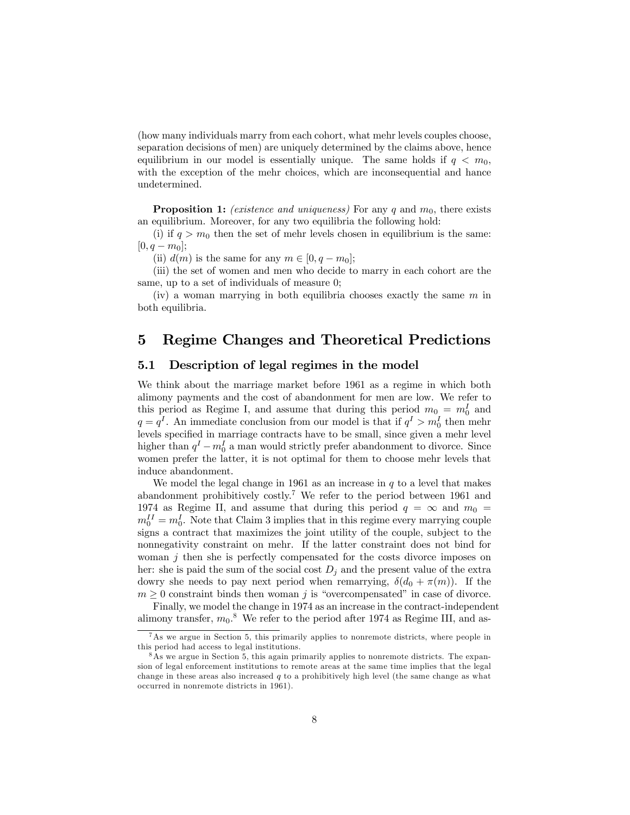(how many individuals marry from each cohort, what mehr levels couples choose, separation decisions of men) are uniquely determined by the claims above, hence equilibrium in our model is essentially unique. The same holds if  $q < m_0$ , with the exception of the mehr choices, which are inconsequential and hance undetermined.

**Proposition 1:** (existence and uniqueness) For any q and  $m_0$ , there exists an equilibrium. Moreover, for any two equilibria the following hold:

(i) if  $q>m_0$  then the set of mehr levels chosen in equilibrium is the same:  $[0, q - m_0];$ 

(ii)  $d(m)$  is the same for any  $m \in [0, q - m_0]$ ;

(iii) the set of women and men who decide to marry in each cohort are the same, up to a set of individuals of measure 0;

(iv) a woman marrying in both equilibria chooses exactly the same  $m$  in both equilibria.

## 5 Regime Changes and Theoretical Predictions

#### 5.1 Description of legal regimes in the model

We think about the marriage market before 1961 as a regime in which both alimony payments and the cost of abandonment for men are low. We refer to this period as Regime I, and assume that during this period  $m_0 = m_0^I$  and  $q = q<sup>I</sup>$ . An immediate conclusion from our model is that if  $q<sup>I</sup> > m<sub>0</sub><sup>I</sup>$  then mehr levels specified in marriage contracts have to be small, since given a mehr level higher than  $q^I - m_0^I$  a man would strictly prefer abandonment to divorce. Since women prefer the latter, it is not optimal for them to choose mehr levels that induce abandonment.

We model the legal change in 1961 as an increase in  $q$  to a level that makes abandonment prohibitively costly.<sup>7</sup> We refer to the period between 1961 and 1974 as Regime II, and assume that during this period  $q = \infty$  and  $m_0 =$  $m_0^{II} = m_0^I$ . Note that Claim 3 implies that in this regime every marrying couple signs a contract that maximizes the joint utility of the couple, subject to the nonnegativity constraint on mehr. If the latter constraint does not bind for woman  $j$  then she is perfectly compensated for the costs divorce imposes on her: she is paid the sum of the social cost  $D_j$  and the present value of the extra dowry she needs to pay next period when remarrying,  $\delta(d_0 + \pi(m))$ . If the  $m \geq 0$  constraint binds then woman j is "overcompensated" in case of divorce.

Finally, we model the change in 1974 as an increase in the contract-independent alimony transfer,  $m_0$ .<sup>8</sup> We refer to the period after 1974 as Regime III, and as-

 ${}^{7}$ As we argue in Section 5, this primarily applies to nonremote districts, where people in this period had access to legal institutions.

<sup>8</sup>As we argue in Section 5, this again primarily applies to nonremote districts. The expansion of legal enforcement institutions to remote areas at the same time implies that the legal change in these areas also increased  $q$  to a prohibitively high level (the same change as what occurred in nonremote districts in 1961).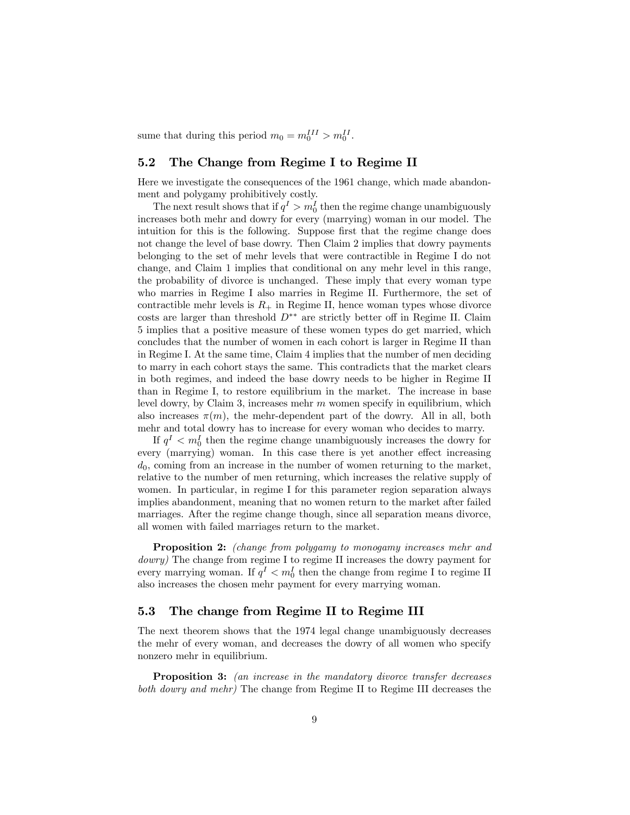sume that during this period  $m_0 = m_0^{III} > m_0^{II}$ .

#### 5.2 The Change from Regime I to Regime II

Here we investigate the consequences of the 1961 change, which made abandonment and polygamy prohibitively costly.

The next result shows that if  $q^I > m_0^I$  then the regime change unambiguously increases both mehr and dowry for every (marrying) woman in our model. The intuition for this is the following. Suppose first that the regime change does not change the level of base dowry. Then Claim 2 implies that dowry payments belonging to the set of mehr levels that were contractible in Regime I do not change, and Claim 1 implies that conditional on any mehr level in this range, the probability of divorce is unchanged. These imply that every woman type who marries in Regime I also marries in Regime II. Furthermore, the set of contractible mehr levels is  $R_+$  in Regime II, hence woman types whose divorce costs are larger than threshold  $D^{**}$  are strictly better off in Regime II. Claim 5 implies that a positive measure of these women types do get married, which concludes that the number of women in each cohort is larger in Regime II than in Regime I. At the same time, Claim 4 implies that the number of men deciding to marry in each cohort stays the same. This contradicts that the market clears in both regimes, and indeed the base dowry needs to be higher in Regime II than in Regime I, to restore equilibrium in the market. The increase in base level dowry, by Claim 3, increases mehr  $m$  women specify in equilibrium, which also increases  $\pi(m)$ , the mehr-dependent part of the dowry. All in all, both mehr and total dowry has to increase for every woman who decides to marry.

If  $q<sup>I</sup> < m<sub>0</sub><sup>I</sup>$  then the regime change unambiguously increases the dowry for every (marrying) woman. In this case there is yet another effect increasing  $d_0$ , coming from an increase in the number of women returning to the market, relative to the number of men returning, which increases the relative supply of women. In particular, in regime I for this parameter region separation always implies abandonment, meaning that no women return to the market after failed marriages. After the regime change though, since all separation means divorce, all women with failed marriages return to the market.

Proposition 2: (change from polygamy to monogamy increases mehr and dowry) The change from regime I to regime II increases the dowry payment for every marrying woman. If  $q<sub>1</sub> < m<sub>0</sub><sup>I</sup>$  then the change from regime I to regime II also increases the chosen mehr payment for every marrying woman.

#### 5.3 The change from Regime II to Regime III

The next theorem shows that the 1974 legal change unambiguously decreases the mehr of every woman, and decreases the dowry of all women who specify nonzero mehr in equilibrium.

Proposition 3: (an increase in the mandatory divorce transfer decreases both dowry and mehr) The change from Regime II to Regime III decreases the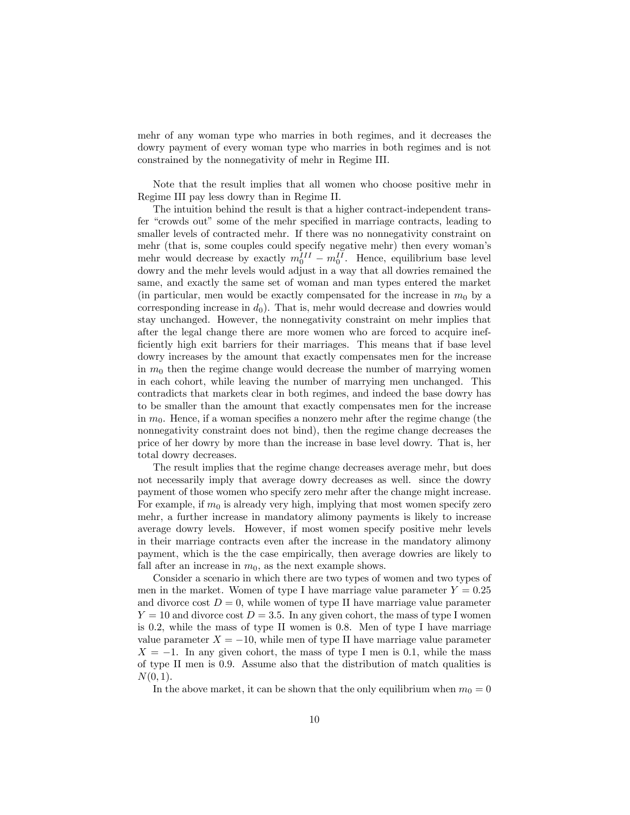mehr of any woman type who marries in both regimes, and it decreases the dowry payment of every woman type who marries in both regimes and is not constrained by the nonnegativity of mehr in Regime III.

Note that the result implies that all women who choose positive mehr in Regime III pay less dowry than in Regime II.

The intuition behind the result is that a higher contract-independent transfer "crowds out" some of the mehr specified in marriage contracts, leading to smaller levels of contracted mehr. If there was no nonnegativity constraint on mehr (that is, some couples could specify negative mehr) then every woman's mehr would decrease by exactly  $m_0^{III} - m_0^{II}$ . Hence, equilibrium base level dowry and the mehr levels would adjust in a way that all dowries remained the same, and exactly the same set of woman and man types entered the market (in particular, men would be exactly compensated for the increase in  $m_0$  by a corresponding increase in  $d_0$ ). That is, mehr would decrease and dowries would stay unchanged. However, the nonnegativity constraint on mehr implies that after the legal change there are more women who are forced to acquire inefficiently high exit barriers for their marriages. This means that if base level dowry increases by the amount that exactly compensates men for the increase in  $m_0$  then the regime change would decrease the number of marrying women in each cohort, while leaving the number of marrying men unchanged. This contradicts that markets clear in both regimes, and indeed the base dowry has to be smaller than the amount that exactly compensates men for the increase in  $m_0$ . Hence, if a woman specifies a nonzero mehr after the regime change (the nonnegativity constraint does not bind), then the regime change decreases the price of her dowry by more than the increase in base level dowry. That is, her total dowry decreases.

The result implies that the regime change decreases average mehr, but does not necessarily imply that average dowry decreases as well. since the dowry payment of those women who specify zero mehr after the change might increase. For example, if  $m_0$  is already very high, implying that most women specify zero mehr, a further increase in mandatory alimony payments is likely to increase average dowry levels. However, if most women specify positive mehr levels in their marriage contracts even after the increase in the mandatory alimony payment, which is the the case empirically, then average dowries are likely to fall after an increase in  $m_0$ , as the next example shows.

Consider a scenario in which there are two types of women and two types of men in the market. Women of type I have marriage value parameter  $Y = 0.25$ and divorce cost  $D = 0$ , while women of type II have marriage value parameter  $Y = 10$  and divorce cost  $D = 3.5$ . In any given cohort, the mass of type I women is 0.2, while the mass of type II women is 0.8. Men of type I have marriage value parameter  $X = -10$ , while men of type II have marriage value parameter  $X = -1$ . In any given cohort, the mass of type I men is 0.1, while the mass of type II men is 0.9. Assume also that the distribution of match qualities is  $N(0, 1)$ .

In the above market, it can be shown that the only equilibrium when  $m_0 = 0$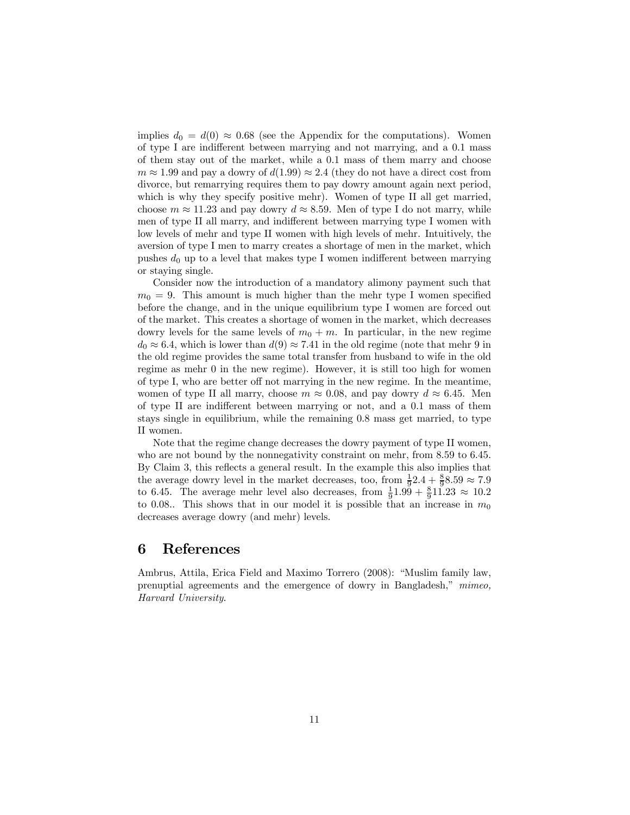implies  $d_0 = d(0) \approx 0.68$  (see the Appendix for the computations). Women of type I are indifferent between marrying and not marrying, and a 0.1 mass of them stay out of the market, while a 0.1 mass of them marry and choose  $m \approx 1.99$  and pay a dowry of  $d(1.99) \approx 2.4$  (they do not have a direct cost from divorce, but remarrying requires them to pay dowry amount again next period, which is why they specify positive mehr). Women of type II all get married, choose  $m \approx 11.23$  and pay dowry  $d \approx 8.59$ . Men of type I do not marry, while men of type II all marry, and indifferent between marrying type I women with low levels of mehr and type II women with high levels of mehr. Intuitively, the aversion of type I men to marry creates a shortage of men in the market, which pushes  $d_0$  up to a level that makes type I women indifferent between marrying or staying single.

Consider now the introduction of a mandatory alimony payment such that  $m_0 = 9$ . This amount is much higher than the mehr type I women specified before the change, and in the unique equilibrium type I women are forced out of the market. This creates a shortage of women in the market, which decreases dowry levels for the same levels of  $m_0 + m$ . In particular, in the new regime  $d_0 \approx 6.4$ , which is lower than  $d(9) \approx 7.41$  in the old regime (note that mehr 9 in the old regime provides the same total transfer from husband to wife in the old regime as mehr 0 in the new regime). However, it is still too high for women of type I, who are better off not marrying in the new regime. In the meantime, women of type II all marry, choose  $m \approx 0.08$ , and pay dowry  $d \approx 6.45$ . Men of type II are indifferent between marrying or not, and a 0.1 mass of them stays single in equilibrium, while the remaining 0.8 mass get married, to type II women.

Note that the regime change decreases the dowry payment of type II women, who are not bound by the nonnegativity constraint on mehr, from 8.59 to 6.45. By Claim 3, this reflects a general result. In the example this also implies that the average dowry level in the market decreases, too, from  $\frac{1}{9}$ 2.4 +  $\frac{8}{9}$ 8.59  $\approx$  7.9 to 6.45. The average mehr level also decreases, from  $\frac{1}{9}$ 1.99 +  $\frac{8}{9}$ 11.23  $\approx$  10.2 to 0.08.. This shows that in our model it is possible that an increase in  $m_0$ decreases average dowry (and mehr) levels.

### 6 References

Ambrus, Attila, Erica Field and Maximo Torrero (2008): "Muslim family law, prenuptial agreements and the emergence of dowry in Bangladesh," mimeo, Harvard University.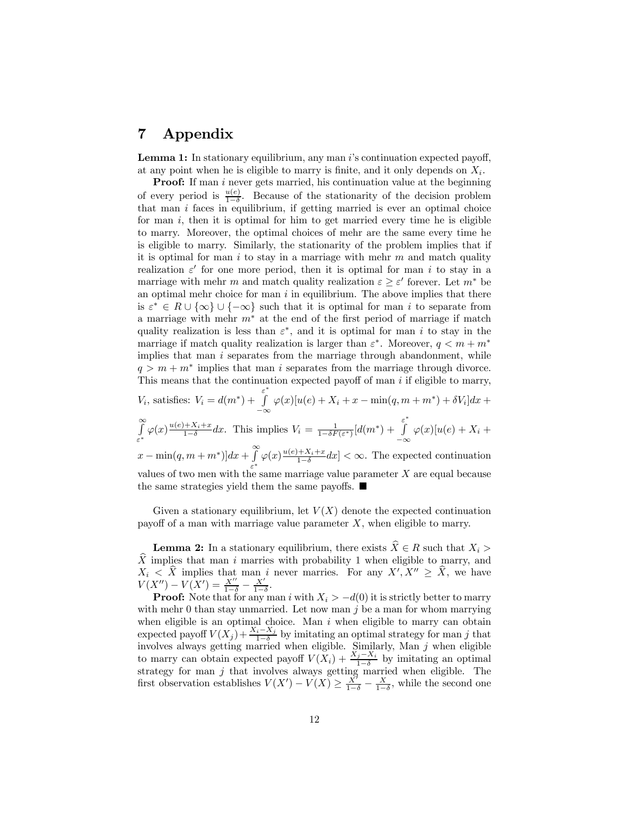# 7 Appendix

**Lemma 1:** In stationary equilibrium, any man  $i$ 's continuation expected payoff, at any point when he is eligible to marry is finite, and it only depends on  $X_i$ .

**Proof:** If man i never gets married, his continuation value at the beginning of every period is  $\frac{u(e)}{1-\delta}$ . Because of the stationarity of the decision problem that man  $i$  faces in equilibrium, if getting married is ever an optimal choice for man  $i$ , then it is optimal for him to get married every time he is eligible to marry. Moreover, the optimal choices of mehr are the same every time he is eligible to marry. Similarly, the stationarity of the problem implies that if it is optimal for man i to stay in a marriage with mehr  $m$  and match quality realization  $\varepsilon'$  for one more period, then it is optimal for man i to stay in a marriage with mehr m and match quality realization  $\varepsilon \geq \varepsilon'$  forever. Let  $m^*$  be an optimal mehr choice for man  $i$  in equilibrium. The above implies that there is  $\varepsilon^* \in R \cup \{\infty\} \cup \{\infty\}$  such that it is optimal for man i to separate from a marriage with mehr  $m^*$  at the end of the first period of marriage if match quality realization is less than  $\varepsilon^*$ , and it is optimal for man i to stay in the marriage if match quality realization is larger than  $\varepsilon^*$ . Moreover,  $q < m + m^*$ implies that man  $i$  separates from the marriage through abandonment, while  $q > m + m^*$  implies that man i separates from the marriage through divorce. This means that the continuation expected payoff of man  $i$  if eligible to marry,

$$
V_i
$$
, satisfies:  $V_i = d(m^*) + \int_{-\infty}^{\varepsilon^*} \varphi(x)[u(e) + X_i + x - \min(q, m + m^*) + \delta V_i]dx +$   

$$
\int_{\varepsilon^*}^{\infty} \varphi(x) \frac{u(e) + X_i + x}{1 - \delta} dx.
$$
 This implies  $V_i = \frac{1}{1 - \delta F(\varepsilon^*)} [d(m^*) + \int_{-\infty}^{\varepsilon^*} \varphi(x)[u(e) + X_i +$   
 $x - \min(q, m + m^*)]dx + \int_{\varepsilon^*}^{\infty} \varphi(x) \frac{u(e) + X_i + x}{1 - \delta} dx] < \infty$ . The expected continuation  
values of two men with the same marriage value parameter X are equal because  
the same strategies yield them the same payoffs.

Given a stationary equilibrium, let  $V(X)$  denote the expected continuation payoff of a man with marriage value parameter  $X$ , when eligible to marry.

**Lemma 2:** In a stationary equilibrium, there exists  $\widehat{X} \in R$  such that  $X_i >$  $\widehat{X}$  implies that man i marries with probability 1 when eligible to marry, and  $X_i \leq X$  implies that man i never marries. For any  $X', X'' \geq X$ , we have  $V(X'') - V(X') = \frac{X''}{1-\delta} - \frac{X'}{1-\delta}.$ 

**Proof:** Note that for any man i with  $X_i > -d(0)$  it is strictly better to marry with mehr 0 than stay unmarried. Let now man  $j$  be a man for whom marrying when eligible is an optimal choice. Man  $i$  when eligible to marry can obtain expected payoff  $V(X_j) + \frac{X_i - X_j}{1 - \delta}$  by imitating an optimal strategy for man j that involves always getting married when eligible. Similarly, Man  $j$  when eligible to marry can obtain expected payoff  $V(X_i) + \frac{X_j - X_i}{1 - \delta}$  by imitating an optimal strategy for man  $j$  that involves always getting married when eligible. The first observation establishes  $V(X') - V(X) \ge \frac{X'}{1-\delta} - \frac{X}{1-\delta}$ , while the second one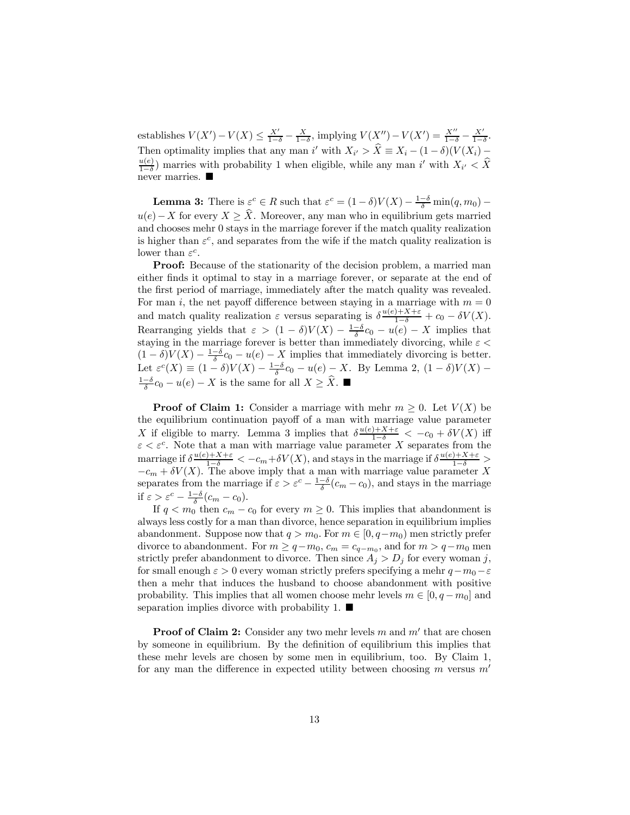establishes  $V(X') - V(X) \leq \frac{X'}{1-\delta} - \frac{X}{1-\delta}$ , implying  $V(X'') - V(X') = \frac{X''}{1-\delta} - \frac{X'}{1-\delta}$ . Then optimality implies that any man i' with  $X_{i'} > X \equiv X_i - (1 - \delta)(V(X_i) - u(e))$  mannic with probability 1 when cliently while any man i' with  $X \leq \widehat{Y}$  $\frac{u(e)}{1-\delta}$ ) marries with probability 1 when eligible, while any man i' with  $X_{i'} < X$ never marries.  $\blacksquare$ 

**Lemma 3:** There is  $\varepsilon^c \in R$  such that  $\varepsilon^c = (1 - \delta)V(X) - \frac{1 - \delta}{\delta} \min(q, m_0) - \frac{\delta}{\delta}$  $u(e) - X$  for every  $X \geq \hat{X}$ . Moreover, any man who in equilibrium gets married and chooses mehr 0 stays in the marriage forever if the match quality realization is higher than  $\varepsilon^c$ , and separates from the wife if the match quality realization is lower than  $\varepsilon^c$ .

Proof: Because of the stationarity of the decision problem, a married man either finds it optimal to stay in a marriage forever, or separate at the end of the first period of marriage, immediately after the match quality was revealed. For man i, the net payoff difference between staying in a marriage with  $m = 0$ and match quality realization  $\varepsilon$  versus separating is  $\delta \frac{u(e)+X+\varepsilon}{1-\delta} + c_0 - \delta V(X)$ . Rearranging yields that  $\varepsilon > (1 - \delta)V(X) - \frac{1 - \delta}{\delta}c_0 - u(e) - X$  implies that staying in the marriage forever is better than immediately divorcing, while  $\varepsilon <$  $(1 - \delta)V(X) - \frac{1-\delta}{\delta}c_0 - u(e) - X$  implies that immediately divorcing is better. Let  $\varepsilon^{c}(X) \equiv (1-\delta)V(X) - \frac{1-\delta}{\delta}c_0 - u(e) - X$ . By Lemma 2,  $(1-\delta)V(X) \frac{1-\delta}{\delta}c_0 - u(e) - X$  is the same for all  $X \geq \widehat{X}$ . ■

**Proof of Claim 1:** Consider a marriage with mehr  $m \geq 0$ . Let  $V(X)$  be the equilibrium continuation payoff of a man with marriage value parameter X if eligible to marry. Lemma 3 implies that  $\delta \frac{u(e)+X+\varepsilon}{1-\delta} < -c_0 + \delta V(X)$  iff  $\varepsilon < \varepsilon^c$ . Note that a man with marriage value parameter X separates from the marriage if  $\delta \frac{u(e)+X+\varepsilon}{1-\delta} < -c_m+\delta V(X)$ , and stays in the marriage if  $\delta \frac{u(e)+X+\varepsilon}{1-\delta} >$  $-c_m + \delta V(X)$ . The above imply that a man with marriage value parameter X separates from the marriage if  $\varepsilon > \varepsilon^c - \frac{1-\delta}{\delta}(c_m - c_0)$ , and stays in the marriage if  $\varepsilon > \varepsilon^c - \frac{1-\delta}{\delta}(c_m - c_0).$ 

If  $q < m_0$  then  $c_m - c_0$  for every  $m \geq 0$ . This implies that abandonment is always less costly for a man than divorce, hence separation in equilibrium implies abandonment. Suppose now that  $q>m_0$ . For  $m \in [0, q-m_0)$  men strictly prefer divorce to abandonment. For  $m \ge q - m_0$ ,  $c_m = c_{q-m_0}$ , and for  $m > q - m_0$  men strictly prefer abandonment to divorce. Then since  $A_j > D_j$  for every woman j, for small enough  $\varepsilon > 0$  every woman strictly prefers specifying a mehr  $q - m_0 - \varepsilon$ then a mehr that induces the husband to choose abandonment with positive probability. This implies that all women choose mehr levels  $m \in [0, q - m_0]$  and separation implies divorce with probability 1.  $\blacksquare$ 

**Proof of Claim 2:** Consider any two mehr levels m and  $m'$  that are chosen by someone in equilibrium. By the definition of equilibrium this implies that these mehr levels are chosen by some men in equilibrium, too. By Claim 1, for any man the difference in expected utility between choosing  $m$  versus  $m'$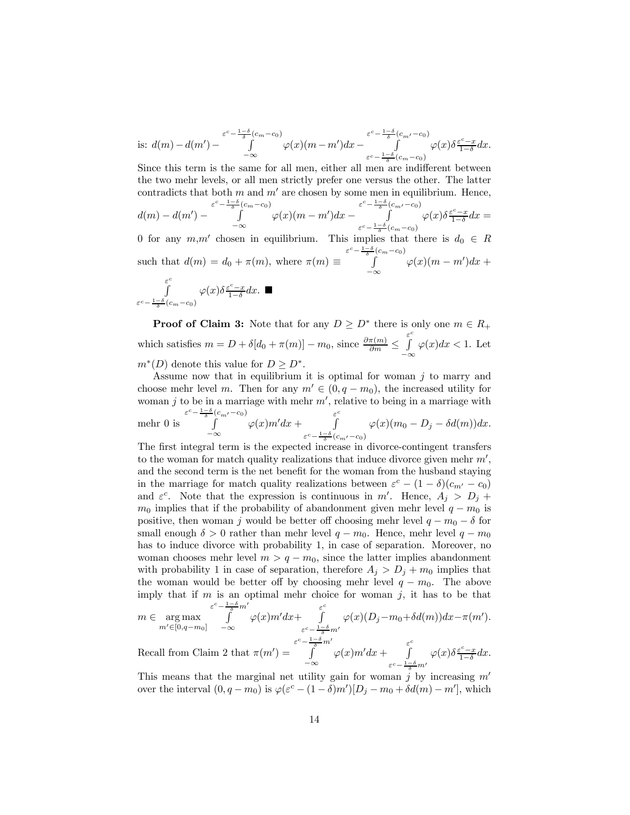is: 
$$
d(m) - d(m') - \int_{-\infty}^{\varepsilon^c - \frac{1-\delta}{\delta}(c_m - c_0)} \varphi(x)(m - m')dx - \int_{\varepsilon^c - \frac{1-\delta}{\delta}(c_m - c_0)}^{\varepsilon^c - \frac{1-\delta}{\delta}(c_m - c_0)} \varphi(x)\delta \frac{\varepsilon^c - x}{1-\delta}dx.
$$

Since this term is the same for all men, either all men are indifferent between the two mehr levels, or all men strictly prefer one versus the other. The latter contradicts that both m and  $m'$  are chosen by some men in equilibrium. Hence,

$$
d(m) - d(m') - \int_{-\infty}^{\varepsilon^c - \frac{1-\delta}{\delta}(c_m - c_0)} \varphi(x)(m - m')dx - \int_{\varepsilon^c - \frac{1-\delta}{\delta}(c_m - c_0)}^{\varepsilon^c - \frac{1-\delta}{\delta}(c_m - c_0)} \varphi(x)\delta \frac{\varepsilon^c - x}{1-\delta}dx =
$$

0 for any  $m,m'$  chosen in equilibrium. This implies that there is  $d_0 \in R$ such that  $d(m) = d_0 + \pi(m)$ , where  $\pi(m) \equiv$  $\varepsilon^c - \frac{1-\delta}{\delta}(c_m-c_0)$  $\int_{-\infty}^{\infty} \varphi(x)(m-m')dx +$ 

$$
\int\limits_{\varepsilon^c-\frac{1-\delta}{\delta}(c_m-c_0)}^{\varepsilon^c}\varphi(x)\delta\tfrac{\varepsilon^c-x}{1-\delta}dx. \blacksquare
$$

**Proof of Claim 3:** Note that for any  $D \ge D^*$  there is only one  $m \in R_+$ which satisfies  $m = D + \delta[d_0 + \pi(m)] - m_0$ , since  $\frac{\partial \pi(m)}{\partial m} \leq$ ε<sup>c</sup> −∞  $\varphi(x)dx < 1$ . Let  $m^*(D)$  denote this value for  $D \geq D^*$ .

Assume now that in equilibrium it is optimal for woman  $j$  to marry and choose mehr level m. Then for any  $m' \in (0, q - m_0)$ , the increased utility for woman j to be in a marriage with mehr  $m'$ , relative to being in a marriage with mehr 0 is  $\varepsilon^c - \frac{1-\delta}{\delta} (c_{m'} - c_0)$ −∞  $\varphi(x)m'dx +$ ε<sup>c</sup>  $\varepsilon^c - \frac{1-\delta}{\delta}(c_{m'}-c_0)$  $\varphi(x)(m_0 - D_j - \delta d(m))dx.$ 

The first integral term is the expected increase in divorce-contingent transfers to the woman for match quality realizations that induce divorce given mehr  $m'$ , and the second term is the net benefit for the woman from the husband staying in the marriage for match quality realizations between  $\varepsilon^c - (1 - \delta)(c_{m'} - c_0)$ and  $\varepsilon^c$ . Note that the expression is continuous in m'. Hence,  $A_j > D_j +$  $m_0$  implies that if the probability of abandonment given mehr level  $q - m_0$  is positive, then woman j would be better off choosing mehr level  $q - m_0 - \delta$  for small enough  $\delta > 0$  rather than mehr level  $q - m_0$ . Hence, mehr level  $q - m_0$ has to induce divorce with probability 1, in case of separation. Moreover, no woman chooses mehr level  $m > q - m_0$ , since the latter implies abandonment with probability 1 in case of separation, therefore  $A_j > D_j + m_0$  implies that the woman would be better off by choosing mehr level  $q - m_0$ . The above imply that if  $m$  is an optimal mehr choice for woman  $j$ , it has to be that  $\varepsilon^c - \frac{1-\delta}{\delta} m'$  $\varepsilon^c$ 

$$
m \in \underset{m' \in [0, q-m_0]}{\arg \max} \int_{-\infty}^{\delta} \varphi(x) m' dx + \int_{\varepsilon^c - \frac{1-\delta}{\delta} m'}^{\delta} \varphi(x) (D_j - m_0 + \delta d(m)) dx - \pi(m').
$$
  
Recall from Claim 2 that  $\pi(m') = \int_{-\infty}^{\varepsilon^c - \frac{1-\delta}{\delta} m'} \varphi(x) m' dx + \int_{1-\delta}^{\varepsilon^c} \varphi(x) \delta \frac{\varepsilon^c - x}{1 - \delta} dx.$ 

−∞  $\varepsilon^c - \frac{1-\delta}{\delta} m'$ This means that the marginal net utility gain for woman  $j$  by increasing  $m'$ 

over the interval  $(0, q - m_0)$  is  $\varphi(\varepsilon^c - (1 - \delta)m')[D_j - m_0 + \delta d(m) - m'],$  which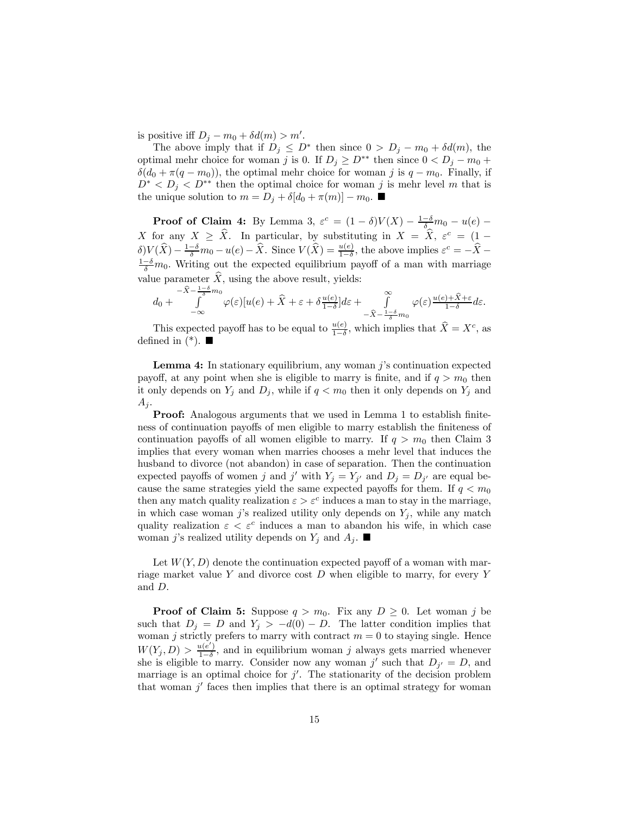is positive iff  $D_j - m_0 + \delta d(m) > m'$ .

The above imply that if  $D_j \leq D^*$  then since  $0 > D_j - m_0 + \delta d(m)$ , the optimal mehr choice for woman j is 0. If  $D_j \geq D^{**}$  then since  $0 < D_j - m_0 +$  $\delta(d_0 + \pi(q - m_0))$ , the optimal mehr choice for woman j is  $q - m_0$ . Finally, if  $D^* < D_j < D^{**}$  then the optimal choice for woman j is mehr level m that is the unique solution to  $m = D_i + \delta[d_0 + \pi(m)] - m_0$ .

**Proof of Claim 4:** By Lemma 3,  $\varepsilon^c = (1 - \delta)V(X) - \frac{1-\delta}{\delta}m_0 - u(e) -$ X for any  $X \geq \hat{X}$ . In particular, by substituting in  $X = \hat{X}$ ,  $\varepsilon^c = (1 \delta$ ) $V(\hat{X}) - \frac{1-\delta}{\delta}m_0 - u(e) - \hat{X}$ . Since  $V(\hat{X}) = \frac{u(e)}{1-\delta}$ , the above implies  $\varepsilon^c = -\hat{X} - \frac{1-\delta}{\delta}m_0$  $\frac{1-\delta}{\delta}m_0$ . Writing out the expected equilibrium payoff of a man with marriage value parameter  $\hat{X}$ , using the above result, yields:

$$
d_0 + \int_{-\infty}^{-\widehat{X} - \frac{1-\delta}{\delta}m_0} \varphi(\varepsilon) [u(e) + \widehat{X} + \varepsilon + \delta \frac{u(e)}{1-\delta}] d\varepsilon + \int_{-\widehat{X} - \frac{1-\delta}{\delta}m_0}^{\infty} \varphi(\varepsilon) \frac{u(e) + \widehat{X} + \varepsilon}{1-\delta} d\varepsilon.
$$

This expected payoff has to be equal to  $\frac{u(e)}{1-\delta}$ , which implies that  $\hat{X} = X^c$ , as defined in  $(*)$ .

Lemma 4: In stationary equilibrium, any woman j's continuation expected payoff, at any point when she is eligible to marry is finite, and if  $q > m_0$  then it only depends on  $Y_j$  and  $D_j$ , while if  $q < m_0$  then it only depends on  $Y_j$  and  $A_j$ .

Proof: Analogous arguments that we used in Lemma 1 to establish finiteness of continuation payoffs of men eligible to marry establish the finiteness of continuation payoffs of all women eligible to marry. If  $q > m_0$  then Claim 3 implies that every woman when marries chooses a mehr level that induces the husband to divorce (not abandon) in case of separation. Then the continuation expected payoffs of women j and j' with  $Y_j = Y_{j'}$  and  $D_j = D_{j'}$  are equal because the same strategies yield the same expected payoffs for them. If  $q < m_0$ then any match quality realization  $\varepsilon > \varepsilon^c$  induces a man to stay in the marriage, in which case woman j's realized utility only depends on  $Y_i$ , while any match quality realization  $\varepsilon < \varepsilon^c$  induces a man to abandon his wife, in which case woman j's realized utility depends on  $Y_j$  and  $A_j$ .

Let  $W(Y, D)$  denote the continuation expected payoff of a woman with marriage market value Y and divorce cost  $D$  when eligible to marry, for every Y and D.

**Proof of Claim 5:** Suppose  $q > m_0$ . Fix any  $D \geq 0$ . Let woman j be such that  $D_j = D$  and  $Y_j > -d(0) - D$ . The latter condition implies that woman j strictly prefers to marry with contract  $m = 0$  to staying single. Hence  $W(Y_j, D) > \frac{u(e')}{1-\delta}$ , and in equilibrium woman j always gets married whenever she is eligible to marry. Consider now any woman j' such that  $D_{j'} = D$ , and marriage is an optimal choice for  $j'$ . The stationarity of the decision problem that woman  $j'$  faces then implies that there is an optimal strategy for woman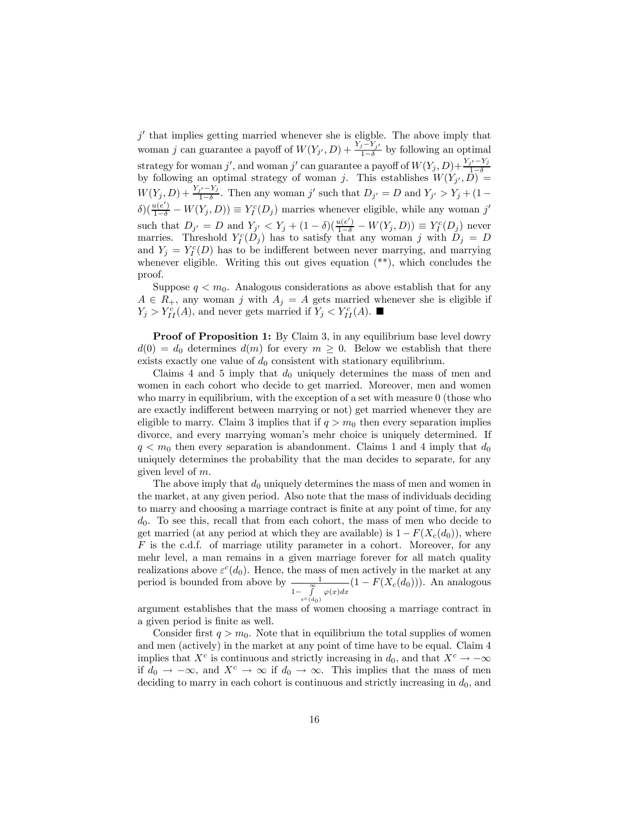$j^\prime$  that implies getting married whenever she is eligble. The above imply that woman j can guarantee a payoff of  $W(Y_{j}, D) + \frac{Y_{j}-Y_{j'}}{1-\delta}$  by following an optimal strategy for woman j', and woman j' can guarantee a payoff of  $W(Y_j, D) + \frac{Y_{j'} - Y_j}{1 - \delta}$ by following an optimal strategy of woman j. This establishes  $W(Y_j, D) =$  $W(Y_j, D) + \frac{Y_{j'} - Y_j}{1 - \delta}$ . Then any woman j' such that  $D_{j'} = D$  and  $Y_{j'} > Y_j + (1 \delta\left(\frac{u(e')}{1-\delta} - W(Y_j, D)\right) \equiv Y_I^c(D_j)$  marries whenever eligible, while any woman j' such that  $D_{j'} = D$  and  $Y_{j'} < Y_j + (1 - \delta)(\frac{u(e')}{1 - \delta} - W(Y_j, D)) \equiv Y_j^c(D_j)$  never marries. Threshold  $Y_l^c(D_j)$  has to satisfy that any woman j with  $D_j = D$ and  $Y_j = Y_l^c(D)$  has to be indifferent between never marrying, and marrying whenever eligible. Writing this out gives equation  $(**)$ , which concludes the proof.

Suppose  $q < m_0$ . Analogous considerations as above establish that for any  $A \in R_+$ , any woman j with  $A_j = A$  gets married whenever she is eligible if  $Y_j > Y_{II}^c(A)$ , and never gets married if  $Y_j < Y_{II}^c(A)$ .

**Proof of Proposition 1:** By Claim 3, in any equilibrium base level dowry  $d(0) = d_0$  determines  $d(m)$  for every  $m \geq 0$ . Below we establish that there exists exactly one value of  $d_0$  consistent with stationary equilibrium.

Claims 4 and 5 imply that  $d_0$  uniquely determines the mass of men and women in each cohort who decide to get married. Moreover, men and women who marry in equilibrium, with the exception of a set with measure 0 (those who are exactly indifferent between marrying or not) get married whenever they are eligible to marry. Claim 3 implies that if  $q > m_0$  then every separation implies divorce, and every marrying woman's mehr choice is uniquely determined. If  $q < m_0$  then every separation is abandonment. Claims 1 and 4 imply that  $d_0$ uniquely determines the probability that the man decides to separate, for any given level of m.

The above imply that  $d_0$  uniquely determines the mass of men and women in the market, at any given period. Also note that the mass of individuals deciding to marry and choosing a marriage contract is finite at any point of time, for any  $d_0$ . To see this, recall that from each cohort, the mass of men who decide to get married (at any period at which they are available) is  $1 - F(X_c(d_0))$ , where F is the c.d.f. of marriage utility parameter in a cohort. Moreover, for any mehr level, a man remains in a given marriage forever for all match quality realizations above  $\varepsilon^c(d_0)$ . Hence, the mass of men actively in the market at any period is bounded from above by  $\frac{1}{\infty}$  $1-\int\limits_{-\infty}^{\infty}$  $\frac{1}{\int_{e^c(d_0)}^{\infty} \varphi(x)dx} (1 - F(X_c(d_0))).$  An analogous

argument establishes that the mass of women choosing a marriage contract in a given period is finite as well.

Consider first  $q > m_0$ . Note that in equilibrium the total supplies of women and men (actively) in the market at any point of time have to be equal. Claim 4 implies that  $X^c$  is continuous and strictly increasing in  $d_0$ , and that  $X^c \to -\infty$ if  $d_0 \to -\infty$ , and  $X^c \to \infty$  if  $d_0 \to \infty$ . This implies that the mass of men deciding to marry in each cohort is continuous and strictly increasing in  $d_0$ , and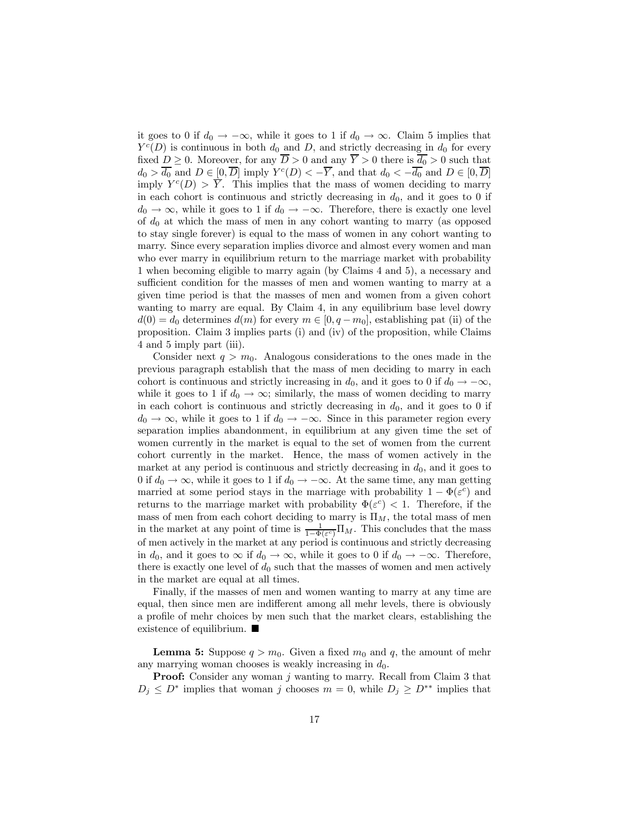it goes to 0 if  $d_0 \to -\infty$ , while it goes to 1 if  $d_0 \to \infty$ . Claim 5 implies that  $Y^c(D)$  is continuous in both  $d_0$  and D, and strictly decreasing in  $d_0$  for every fixed  $D \geq 0$ . Moreover, for any  $\overline{D} > 0$  and any  $\overline{Y} > 0$  there is  $\overline{d_0} > 0$  such that  $d_0 > \overline{d_0}$  and  $D \in [0, \overline{D}]$  imply  $Y^c(D) < -\overline{Y}$ , and that  $d_0 < -\overline{d_0}$  and  $D \in [0, \overline{D}]$ imply  $Y^{c}(D) > \overline{Y}$ . This implies that the mass of women deciding to marry in each cohort is continuous and strictly decreasing in  $d_0$ , and it goes to 0 if  $d_0 \to \infty$ , while it goes to 1 if  $d_0 \to -\infty$ . Therefore, there is exactly one level of  $d_0$  at which the mass of men in any cohort wanting to marry (as opposed to stay single forever) is equal to the mass of women in any cohort wanting to marry. Since every separation implies divorce and almost every women and man who ever marry in equilibrium return to the marriage market with probability 1 when becoming eligible to marry again (by Claims 4 and 5), a necessary and sufficient condition for the masses of men and women wanting to marry at a given time period is that the masses of men and women from a given cohort wanting to marry are equal. By Claim 4, in any equilibrium base level dowry  $d(0) = d_0$  determines  $d(m)$  for every  $m \in [0, q - m_0]$ , establishing pat (ii) of the proposition. Claim 3 implies parts (i) and (iv) of the proposition, while Claims 4 and 5 imply part (iii).

Consider next  $q > m_0$ . Analogous considerations to the ones made in the previous paragraph establish that the mass of men deciding to marry in each cohort is continuous and strictly increasing in  $d_0$ , and it goes to 0 if  $d_0 \rightarrow -\infty$ , while it goes to 1 if  $d_0 \rightarrow \infty$ ; similarly, the mass of women deciding to marry in each cohort is continuous and strictly decreasing in  $d_0$ , and it goes to 0 if  $d_0 \to \infty$ , while it goes to 1 if  $d_0 \to -\infty$ . Since in this parameter region every separation implies abandonment, in equilibrium at any given time the set of women currently in the market is equal to the set of women from the current cohort currently in the market. Hence, the mass of women actively in the market at any period is continuous and strictly decreasing in  $d_0$ , and it goes to 0 if  $d_0 \to \infty$ , while it goes to 1 if  $d_0 \to -\infty$ . At the same time, any man getting married at some period stays in the marriage with probability  $1 - \Phi(\varepsilon^c)$  and returns to the marriage market with probability  $\Phi(\varepsilon^c)$  < 1. Therefore, if the mass of men from each cohort deciding to marry is  $\Pi_M$ , the total mass of men in the market at any point of time is  $\frac{1}{1-\Phi(\varepsilon^c)}\Pi_M$ . This concludes that the mass of men actively in the market at any period is continuous and strictly decreasing in  $d_0$ , and it goes to  $\infty$  if  $d_0 \to \infty$ , while it goes to 0 if  $d_0 \to -\infty$ . Therefore, there is exactly one level of  $d_0$  such that the masses of women and men actively in the market are equal at all times.

Finally, if the masses of men and women wanting to marry at any time are equal, then since men are indifferent among all mehr levels, there is obviously a profile of mehr choices by men such that the market clears, establishing the existence of equilibrium.  $\blacksquare$ 

**Lemma 5:** Suppose  $q > m_0$ . Given a fixed  $m_0$  and q, the amount of mehr any marrying woman chooses is weakly increasing in  $d_0$ .

**Proof:** Consider any woman  $j$  wanting to marry. Recall from Claim 3 that  $D_j \leq D^*$  implies that woman j chooses  $m = 0$ , while  $D_j \geq D^{**}$  implies that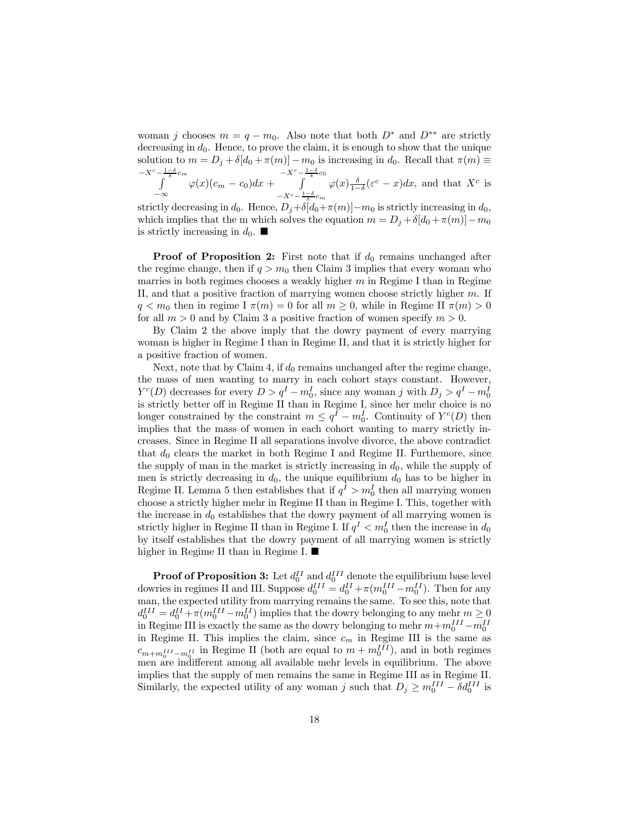woman j chooses  $m = q - m_0$ . Also note that both  $D^*$  and  $D^{**}$  are strictly decreasing in  $d_0$ . Hence, to prove the claim, it is enough to show that the unique solution to  $m = D_j + \delta[d_0 + \pi(m)] - m_0$  is increasing in  $d_0$ . Recall that  $\pi(m) \equiv$  $-X^c-\frac{1-\delta}{\delta}c_m$  $-X^c-\frac{1-\delta}{\delta}c_0$ 

$$
\int_{-\infty}^{\infty} \varphi(x)(c_m - c_0) dx + \int_{-X^c - \frac{1-\delta}{\delta}c_m}^{\infty} \varphi(x) \frac{\delta}{1-\delta} (\varepsilon^c - x) dx
$$
, and that  $X^c$  is

strictly decreasing in  $d_0$ . Hence,  $D_j + \delta[d_0 + \pi(m)] - m_0$  is strictly increasing in  $d_0$ , which implies that the m which solves the equation  $m = D_j + \delta[d_0 + \pi(m)] - m_0$ is strictly increasing in  $d_0$ .

**Proof of Proposition 2:** First note that if  $d_0$  remains unchanged after the regime change, then if  $q > m_0$  then Claim 3 implies that every woman who marries in both regimes chooses a weakly higher  $m$  in Regime I than in Regime II, and that a positive fraction of marrying women choose strictly higher  $m$ . If  $q < m_0$  then in regime I  $\pi(m) = 0$  for all  $m \geq 0$ , while in Regime II  $\pi(m) > 0$ for all  $m > 0$  and by Claim 3 a positive fraction of women specify  $m > 0$ .

By Claim 2 the above imply that the dowry payment of every marrying woman is higher in Regime I than in Regime II, and that it is strictly higher for a positive fraction of women.

Next, note that by Claim 4, if  $d_0$  remains unchanged after the regime change, the mass of men wanting to marry in each cohort stays constant. However,  $Y^{c}(D)$  decreases for every  $D>q^{I}-m_{0}^{I}$ , since any woman j with  $D_{j}>q^{I}-m_{0}^{I}$ is strictly better off in Regime II than in Regime I, since her mehr choice is no longer constrained by the constraint  $m \leq q^{I} - m_{0}^{I}$ . Continuity of  $Y^{c}(D)$  then implies that the mass of women in each cohort wanting to marry strictly increases. Since in Regime II all separations involve divorce, the above contradict that  $d_0$  clears the market in both Regime I and Regime II. Furthemore, since the supply of man in the market is strictly increasing in  $d_0$ , while the supply of men is strictly decreasing in  $d_0$ , the unique equilibrium  $d_0$  has to be higher in Regime II. Lemma 5 then establishes that if  $q^I > m_0^I$  then all marrying women choose a strictly higher mehr in Regime II than in Regime I. This, together with the increase in  $d_0$  establishes that the dowry payment of all marrying women is strictly higher in Regime II than in Regime I. If  $q<sup>I</sup> < m<sub>0</sub><sup>I</sup>$  then the increase in  $d_0$ by itself establishes that the dowry payment of all marrying women is strictly higher in Regime II than in Regime I.  $\blacksquare$ 

**Proof of Proposition 3:** Let  $d_0^{II}$  and  $d_0^{III}$  denote the equilibrium base level dowries in regimes II and III. Suppose  $d_0^{III} = d_0^{II} + \pi (m_0^{III} - m_0^{II})$ . Then for any man, the expected utility from marrying remains the same. To see this, note that  $d_0^{III} = d_0^{II} + \pi (m_0^{III} - m_0^{II})$  implies that the dowry belonging to any mehr  $m \ge 0$ in Regime III is exactly the same as the dowry belonging to mehr  $m+m_0^{III}-m_0^{III}$ in Regime II. This implies the claim, since  $c_m$  in Regime III is the same as  $c_{m+m_0^{III}-m_0^{II}}$  in Regime II (both are equal to  $m+m_0^{III}$ ), and in both regimes men are indifferent among all available mehr levels in equilibrium. The above implies that the supply of men remains the same in Regime III as in Regime II. Similarly, the expected utility of any woman j such that  $D_j \ge m_0^{III} - \delta d_0^{III}$  is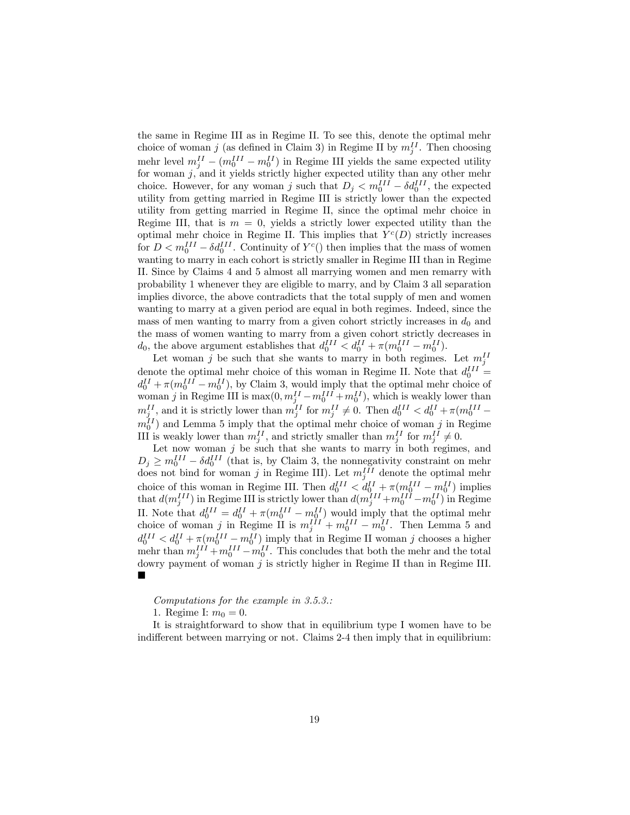the same in Regime III as in Regime II. To see this, denote the optimal mehr choice of woman j (as defined in Claim 3) in Regime II by  $m_j^{II}$ . Then choosing mehr level  $m_j^{II} - (m_0^{III} - m_0^{II})$  in Regime III yields the same expected utility for woman  $j$ , and it yields strictly higher expected utility than any other mehr choice. However, for any woman j such that  $D_j < m_0^{III} - \delta d_0^{III}$ , the expected utility from getting married in Regime III is strictly lower than the expected utility from getting married in Regime II, since the optimal mehr choice in Regime III, that is  $m = 0$ , yields a strictly lower expected utility than the optimal mehr choice in Regime II. This implies that  $Y^c(D)$  strictly increases for  $D < m_0^{III} - \delta d_0^{III}$ . Continuity of  $Y^c()$  then implies that the mass of women wanting to marry in each cohort is strictly smaller in Regime III than in Regime II. Since by Claims 4 and 5 almost all marrying women and men remarry with probability 1 whenever they are eligible to marry, and by Claim 3 all separation implies divorce, the above contradicts that the total supply of men and women wanting to marry at a given period are equal in both regimes. Indeed, since the mass of men wanting to marry from a given cohort strictly increases in  $d_0$  and the mass of women wanting to marry from a given cohort strictly decreases in  $d_0$ , the above argument establishes that  $d_0^{III} < d_0^{II} + \pi (m_0^{III} - m_0^{II})$ .

Let woman j be such that she wants to marry in both regimes. Let  $m_j^H$ denote the optimal mehr choice of this woman in Regime II. Note that  $d_0^{III}$  =  $d_0^{II} + \pi (m_0^{III} - m_0^{II})$ , by Claim 3, would imply that the optimal mehr choice of woman j in Regime III is  $\max(0, m_{j}^{II} - m_0^{III} + m_0^{II})$ , which is weakly lower than  $m_j^{II}$ , and it is strictly lower than  $m_j^{II}$  for  $m_j^{II} \neq 0$ . Then  $d_0^{III} < d_0^{II} + \pi (m_0^{III} m_0^{II}$  and Lemma 5 imply that the optimal mehr choice of woman j in Regime III is weakly lower than  $m_j^{II}$ , and strictly smaller than  $m_j^{II}$  for  $m_j^{II} \neq 0$ .

Let now woman  $j$  be such that she wants to marry in both regimes, and  $D_j \geq m_0^{III} - \delta d_0^{III}$  (that is, by Claim 3, the nonnegativity constraint on mehr does not bind for woman j in Regime III). Let  $m_j^{III}$  denote the optimal mehr choice of this woman in Regime III. Then  $d_0^{III} < d_0^{II} + \pi (m_0^{III} - m_0^{II})$  implies that  $d(m_j^{III})$  in Regime III is strictly lower than  $d(m_j^{III} + m_0^{III} - m_0^{II})$  in Regime II. Note that  $d_0^{III} = d_0^{II} + \pi (m_0^{III} - m_0^{II})$  would imply that the optimal mehr choice of woman j in Regime II is  $m_j^{III} + m_0^{III} - m_0^{II}$ . Then Lemma 5 and  $d_0^{III} < d_0^{II} + \pi (m_0^{III} - m_0^{II})$  imply that in Regime II woman j chooses a higher mehr than  $m_j^{III} + m_0^{III} - m_0^{II}$ . This concludes that both the mehr and the total dowry payment of woman  $j$  is strictly higher in Regime II than in Regime III. ¥

Computations for the example in 3.5.3.:

1. Regime I:  $m_0 = 0$ .

It is straightforward to show that in equilibrium type I women have to be indifferent between marrying or not. Claims 2-4 then imply that in equilibrium: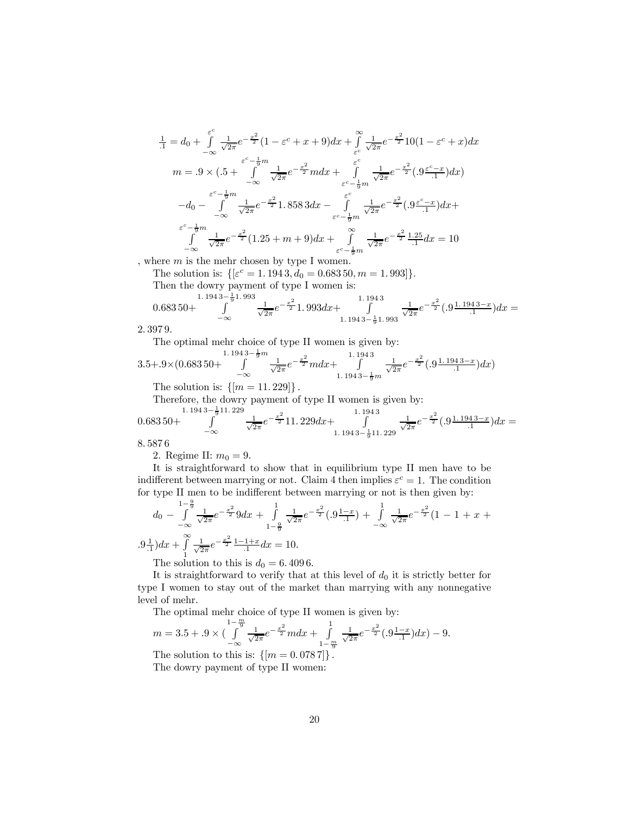$$
\frac{1}{1} = d_0 + \int_{-\infty}^{\varepsilon^c} \frac{1}{\sqrt{2\pi}} e^{-\frac{x^2}{2}} (1 - \varepsilon^c + x + 9) dx + \int_{\varepsilon^c}^{\infty} \frac{1}{\sqrt{2\pi}} e^{-\frac{x^2}{2}} 10 (1 - \varepsilon^c + x) dx
$$
  
\n
$$
m = .9 \times (.5 + \int_{-\infty}^{\varepsilon^c - \frac{1}{9}m} \frac{1}{\sqrt{2\pi}} e^{-\frac{x^2}{2}} m dx + \int_{\varepsilon^c - \frac{1}{9}m}^{\varepsilon^c} \frac{1}{\sqrt{2\pi}} e^{-\frac{x^2}{2}} (.9 \frac{\varepsilon^c - x}{.1}) dx)
$$
  
\n
$$
-d_0 - \int_{-\infty}^{\varepsilon^c - \frac{1}{9}m} \frac{1}{\sqrt{2\pi}} e^{-\frac{x^2}{2}} 1.858 3 dx - \int_{\varepsilon^c - \frac{1}{9}m}^{\varepsilon^c} \frac{1}{\sqrt{2\pi}} e^{-\frac{x^2}{2}} (.9 \frac{\varepsilon^c - x}{.1}) dx +
$$
  
\n
$$
\frac{\varepsilon^c - \frac{1}{9}m}{\int_{-\infty}^{\varepsilon^c - \frac{1}{2}m} \frac{1}{\sqrt{2\pi}} e^{-\frac{x^2}{2}} (1.25 + m + 9) dx + \int_{\varepsilon^c - \frac{1}{9}m}^{\infty} \frac{1}{\sqrt{2\pi}} e^{-\frac{x^2}{2}} \frac{1.25}{.1} dx = 10
$$

, where  $m$  is the mehr chosen by type I women.

The solution is:  $\{\epsilon^c = 1.1943, d_0 = 0.68350, m = 1.993\}.$ 

Then the dowry payment of type I women is:

$$
0.683\,50 + \int_{-\infty}^{1.194\,3-\frac{1}{9}1.993} \frac{1}{\sqrt{2\pi}} e^{-\frac{x^2}{2}} 1.993 dx + \int_{1.194\,3-\frac{1}{9}1.993}^{1.194\,3} \frac{1}{\sqrt{2\pi}} e^{-\frac{x^2}{2}} (0.9\frac{1.194\,3-x}{0.1}) dx =
$$

2. 397 9.

The optimal mehr choice of type II women is given by:

$$
3.5 + .9 \times (0.68350 + \int_{-\infty}^{1.1943 - \frac{1}{9}m} \frac{1}{\sqrt{2\pi}} e^{-\frac{x^2}{2}} m dx + \int_{1.1943 - \frac{1}{9}m}^{1.1943} \frac{1}{\sqrt{2\pi}} e^{-\frac{x^2}{2}} (0.911943 - x) dx
$$
  
The solution is:  $\lim_{x \to 0} \frac{1}{2} \cdot 10^{-2} \frac{1}{2} \cdot 10^{-1}$ 

The solution is:  $\{ |m = 11.229| \}$ .

Therefore, the dowry payment of type II women is given by:

$$
0.683\,50+\int\limits_{-\infty}^{1.194\,3-\frac{1}{9}11.229}\frac{1}{\sqrt{2\pi}}e^{-\frac{x^2}{2}}11.229dx+\int\limits_{1.194\,3-\frac{1}{9}11.229}\frac{1}{\sqrt{2\pi}}e^{-\frac{x^2}{2}}(.9\frac{1.194\,3-x}{.1})dx=
$$

8. 587 6

2. Regime II:  $m_0 = 9$ .

It is straightforward to show that in equilibrium type II men have to be indifferent between marrying or not. Claim 4 then implies  $\varepsilon^c = 1$ . The condition for type II men to be indifferent between marrying or not is then given by:

$$
d_0 - \int_{-\infty}^{1-\frac{9}{9}} \frac{1}{\sqrt{2\pi}} e^{-\frac{x^2}{2}} 9 dx + \int_{1-\frac{9}{9}}^{1} \frac{1}{\sqrt{2\pi}} e^{-\frac{x^2}{2}} (0.9\frac{1-x}{1.1}) + \int_{-\infty}^{1} \frac{1}{\sqrt{2\pi}} e^{-\frac{x^2}{2}} (1 - 1 + x + 0.9\frac{1}{1.1}) dx + \int_{1}^{\infty} \frac{1}{\sqrt{2\pi}} e^{-\frac{x^2}{2}} \frac{1-1+x}{1} dx = 10.
$$

The solution to this is  $d_0 = 6.4096$ .

It is straightforward to verify that at this level of  $d_0$  it is strictly better for type I women to stay out of the market than marrying with any nonnegative level of mehr.

The optimal mehr choice of type II women is given by:

$$
m = 3.5 + 0.9 \times \left(\int_{-\infty}^{\frac{1-\frac{m}{9}}{\sqrt{2\pi}}} \frac{1}{e^{-\frac{x^2}{2}}} m dx + \int_{1-\frac{m}{9}}^1 \frac{1}{\sqrt{2\pi}} e^{-\frac{x^2}{2}} (0.9\frac{1-x}{1}) dx\right) - 9.
$$

The solution to this is:  $\{[m = 0.0787]\}.$ The dowry payment of type II women: